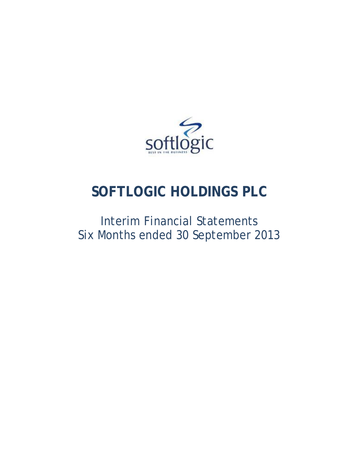

# **SOFTLOGIC HOLDINGS PLC**

# Interim Financial Statements Six Months ended 30 September 2013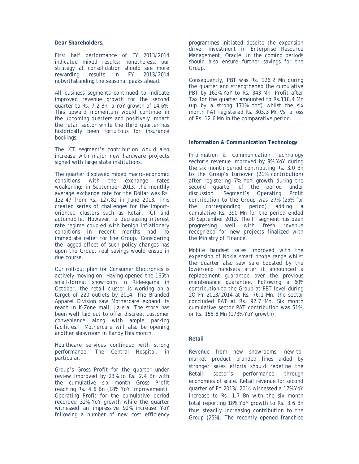### **Dear Shareholders,**

First half performance of FY 2013/2014 indicated mixed results; nonetheless, our strategy at consolidation should see more<br>rewarding results in FY 2013/2014 rewarding results in FY 2013/2014 notwithstanding the seasonal peaks ahead.

All business segments continued to indicate improved revenue growth for the second quarter to Rs. 7.2 Bn, a YoY growth of 14.6%. This upward momentum would continue in the upcoming quarters and positively impact the retail sector while the third quarter has historically been fortuitous for insurance bookings.

The ICT segment's contribution would also increase with major new hardware projects signed with large state institutions.

The quarter displayed mixed macro-economic conditions with the exchange rates weakening: in September 2013, the monthly average exchange rate for the Dollar was Rs. 132.47 from Rs. 127.81 in June 2013. This created series of challenges for the importoriented clusters such as Retail, ICT and automobile. However, a decreasing interest rate regime coupled with benign inflationary conditions in recent months had no immediate relief for the Group. Considering the lagged-effect of such policy changes has upon the Group, real savings would ensue in due course.

Our roll-out plan for Consumer Electronics is actively moving on. Having opened the 165th small-format showroom in Rideegama in October, the retail cluster is working on a target of 220 outlets by 2014. The Branded Apparel Division saw Mothercare expand its reach in K-Zone mall, Ja-ela. The store has been well laid out to offer discreet customer convenience along with ample parking facilities. Mothercare will also be opening another showroom in Kandy this month.

Healthcare services continued with strong performance, The Central Hospital, in particular.

Group's Gross Profit for the quarter under review improved by 23% to Rs. 2.4 Bn with the cumulative six month Gross Profit reaching Rs. 4.6 Bn (18% YoY improvement). Operating Profit for the cumulative period recorded 31% YoY growth while the quarter witnessed an impressive 92% increase YoY following a number of new cost efficiency programmes initiated despite the expansion drive. Investment in Enterprise Resource Management, Oracle, in the coming periods should also ensure further savings for the Group.

Consequently, PBT was Rs. 126.2 Mn during the quarter and strengthened the cumulative PBT by 162% YoY to Rs. 343 Mn. Profit after Tax for the quarter amounted to Rs.118.4 Mn (up by a strong 171% YoY) whilst the six month PAT registered Rs. 303.3 Mn Vs. a loss of Rs. 12.6 Mn in the comparative period.

### **Information & Communication Technology**

Information & Communication Technology sector's revenue improved by 9% YoY during the six month period contributing Rs. 3.0 Bn to the Group's turnover (21% contribution) after registering 7% YoY growth during the second quarter of the period under discussion. Segment's Operating Profit contribution to the Group was 27% (25% for the corresponding period) adding a cumulative Rs. 390 Mn for the period ended 30 September 2013. The IT segment has been progressing well with fresh revenue recognized for new projects finalized with the Ministry of Finance.

Mobile handset sales improved with the expansion of Nokia smart phone range whilst the quarter also saw sale boosted by the lower-end handsets after it announced a replacement guarantee over the previous maintenance guarantee. Following a 60% contribution to the Group at PBT level during 2Q FY 2013/2014 at Rs. 76.1 Mn, the sector concluded PAT at Rs. 92.7 Mn. Six month cumulative sector PAT contribution was 51%, or Rs. 155.8 Mn (173% YoY growth).

### **Retail**

Revenue from new showrooms, new-tomarket product branded lines aided by stronger sales efforts should redefine the Retail sector's performance through economies of scale. Retail revenue for second quarter of FY 2013/ 2014 witnessed a 17% YoY increase to Rs. 1.7 Bn with the six month total reporting 18% YoY growth to Rs. 3.6 Bn thus steadily increasing contribution to the Group (25%). The recently opened franchise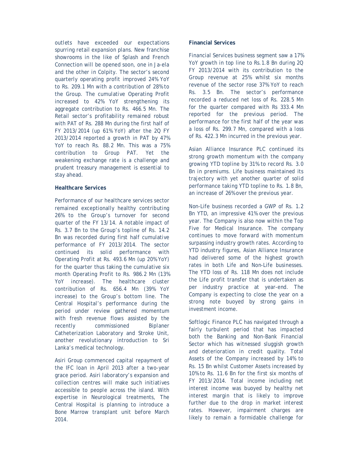outlets have exceeded our expectations spurring retail expansion plans. New franchise showrooms in the like of Splash and French Connection will be opened soon, one in Ja-ela and the other in Colpity. The sector's second quarterly operating profit improved 24% YoY to Rs. 209.1 Mn with a contribution of 28% to the Group. The cumulative Operating Profit increased to 42% YoY strengthening its aggregate contribution to Rs. 466.5 Mn. The Retail sector's profitability remained robust with PAT of Rs. 288 Mn during the first half of FY 2013/2014 (up 61% YoY) after the 2Q FY 2013/2014 reported a growth in PAT by 47% YoY to reach Rs. 88.2 Mn. This was a 75% contribution to Group PAT. Yet the weakening exchange rate is a challenge and prudent treasury management is essential to stay ahead.

### **Healthcare Services**

Performance of our healthcare services sector remained exceptionally healthy contributing 26% to the Group's turnover for second quarter of the FY 13/14. A notable impact of Rs. 3.7 Bn to the Group's topline of Rs. 14.2 Bn was recorded during first half cumulative performance of FY 2013/2014. The sector continued its solid performance with Operating Profit at Rs. 493.6 Mn (up 20% YoY) for the quarter thus taking the cumulative six month Operating Profit to Rs. 986.2 Mn (13% YoY increase). The healthcare cluster contribution of Rs. 656.4 Mn (39% YoY increase) to the Group's bottom line. The Central Hospital's performance during the period under review gathered momentum with fresh revenue flows assisted by the recently commissioned Biplaner Catheterization Laboratory and Stroke Unit, another revolutionary introduction to Sri Lanka's medical technology.

Asiri Group commenced capital repayment of the IFC loan in April 2013 after a two-year grace period. Asiri laboratory's expansion and collection centres will make such initiatives accessible to people across the island. With expertise in Neurological treatments, The Central Hospital is planning to introduce a Bone Marrow transplant unit before March 2014.

### **Financial Services**

Financial Services business segment saw a 17% YoY growth in top line to Rs.1.8 Bn during 2Q FY 2013/2014 with its contribution to the Group revenue at 25% whilst six months revenue of the sector rose 37% YoY to reach Rs. 3.5 Bn. The sector's performance recorded a reduced net loss of Rs. 228.5 Mn for the quarter compared with Rs 333.4 Mn reported for the previous period. The performance for the first half of the year was a loss of Rs. 299.7 Mn, compared with a loss of Rs. 422.3 Mn incurred in the previous year.

Asian Alliance Insurance PLC continued its strong growth momentum with the company growing YTD topline by 31% to record Rs. 3.0 Bn in premiums. Life business maintained its trajectory with yet another quarter of solid performance taking YTD topline to Rs. 1.8 Bn, an increase of 26% over the previous year.

Non-Life business recorded a GWP of Rs. 1.2 Bn YTD, an impressive 41% over the previous year. The Company is also now within the Top Five for Medical Insurance. The company continues to move forward with momentum surpassing industry growth rates. According to YTD industry figures, Asian Alliance Insurance had delivered some of the highest growth rates in both Life and Non-Life businesses. The YTD loss of Rs. 118 Mn does not include the Life profit transfer that is undertaken as per industry practice at year-end. The Company is expecting to close the year on a strong note buoyed by strong gains in investment income.

Softlogic Finance PLC has navigated through a fairly turbulent period that has impacted both the Banking and Non-Bank Financial Sector which has witnessed sluggish growth and deterioration in credit quality. Total Assets of the Company increased by 14% to Rs. 15 Bn whilst Customer Assets increased by 10% to Rs. 11.6 Bn for the first six months of FY 2013/2014. Total income including net interest income was buoyed by healthy net interest margin that is likely to improve further due to the drop in market interest rates. However, impairment charges are likely to remain a formidable challenge for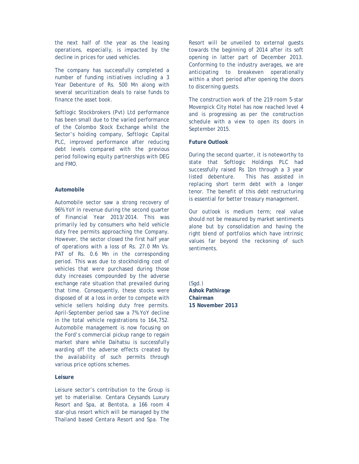the next half of the year as the leasing operations, especially, is impacted by the decline in prices for used vehicles.

The company has successfully completed a number of funding initiatives including a 3 Year Debenture of Rs. 500 Mn along with several securitization deals to raise funds to finance the asset book.

Softlogic Stockbrokers (Pvt) Ltd performance has been small due to the varied performance of the Colombo Stock Exchange whilst the Sector's holding company, Softlogic Capital PLC, improved performance after reducing debt levels compared with the previous period following equity partnerships with DEG and FMO.

### **Automobile**

Automobile sector saw a strong recovery of 96% YoY in revenue during the second quarter of Financial Year 2013/2014. This was primarily led by consumers who held vehicle duty free permits approaching the Company. However, the sector closed the first half year of operations with a loss of Rs. 27.0 Mn Vs. PAT of Rs. 0.6 Mn in the corresponding period. This was due to stockholding cost of vehicles that were purchased during those duty increases compounded by the adverse exchange rate situation that prevailed during that time. Consequently, these stocks were disposed of at a loss in order to compete with vehicle sellers holding duty free permits. April-September period saw a 7% YoY decline in the total vehicle registrations to 164,752. Automobile management is now focusing on the Ford's commercial pickup range to regain market share while Daihatsu is successfully warding off the adverse effects created by the availability of such permits through various price options schemes.

### **Leisure**

Leisure sector's contribution to the Group is yet to materialise. Centara Ceysands Luxury Resort and Spa, at Bentota, a 166 room 4 star-plus resort which will be managed by the Thailand based Centara Resort and Spa. The

Resort will be unveiled to external guests towards the beginning of 2014 after its soft opening in latter part of December 2013. Conforming to the industry averages, we are anticipating to breakeven operationally within a short period after opening the doors to discerning guests.

The construction work of the 219 room 5-star Movenpick City Hotel has now reached level 4 and is progressing as per the construction schedule with a view to open its doors in September 2015.

### **Future Outlook**

During the second quarter, it is noteworthy to state that Softlogic Holdings PLC had successfully raised Rs 1bn through a 3 year listed debenture. This has assisted in replacing short term debt with a longer tenor. The benefit of this debt restructuring is essential for better treasury management.

Our outlook is medium term; real value should not be measured by market sentiments alone but by consolidation and having the right blend of portfolios which have intrinsic values far beyond the reckoning of such sentiments.

(Sgd.) **Ashok Pathirage Chairman 15 November 2013**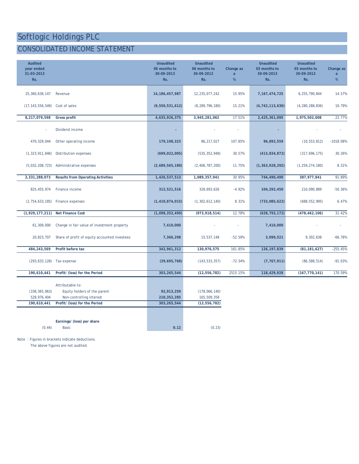## CONSOLIDATED INCOME STATEMENT

| <b>Audited</b><br>year ended<br>31-03-2013<br>Rs. |                                                                                                               | <b>Unaudited</b><br>06 months to<br>30-09-2013<br>Rs. | <b>Unaudited</b><br>06 months to<br>30-09-2012<br>Rs. | Change as<br>a<br>% | <b>Unaudited</b><br>03 months to<br>30-09-2013<br>Rs. | <b>Unaudited</b><br>03 months to<br>30-09-2012<br>Rs. | Change as<br>a<br>$\%$ |
|---------------------------------------------------|---------------------------------------------------------------------------------------------------------------|-------------------------------------------------------|-------------------------------------------------------|---------------------|-------------------------------------------------------|-------------------------------------------------------|------------------------|
| 25,360,636,147                                    | Revenue                                                                                                       | 14, 186, 457, 987                                     | 12,235,077,242                                        | 15.95%              | 7, 167, 474, 725                                      | 6,255,790,844                                         | 14.57%                 |
| (17, 143, 556, 549)                               | Cost of sales                                                                                                 | (9,550,531,612)                                       | (8, 289, 796, 180)                                    | 15.21%              | (4, 742, 113, 630)                                    | (4, 280, 288, 836)                                    | 10.79%                 |
| 8,217,079,598                                     | <b>Gross profit</b>                                                                                           | 4,635,926,375                                         | 3,945,281,062                                         | 17.51%              | 2,425,361,095                                         | 1,975,502,008                                         | 22.77%                 |
|                                                   | Dividend income                                                                                               |                                                       |                                                       | $\bar{a}$           |                                                       |                                                       |                        |
| 470,329,044                                       | Other operating income                                                                                        | 179,198,323                                           | 86,217,027                                            | 107.85%             | 96,892,559                                            | (10, 553, 812)                                        | $-1018.08%$            |
| (1, 323, 911, 846)                                | Distribution expenses                                                                                         | (699, 022, 005)                                       | (535, 352, 948)                                       | 30.57%              | (413,834,872)                                         | (317, 696, 175)                                       | 30.26%                 |
| (5,032,208,723)                                   | Administrative expenses                                                                                       | (2,689,565,180)                                       | (2, 406, 787, 200)                                    | 11.75%              | (1, 363, 928, 292)                                    | (1, 259, 274, 180)                                    | 8.31%                  |
| 2,331,288,073                                     | <b>Results from Operating Activities</b>                                                                      | 1,426,537,513                                         | 1,089,357,941                                         | 30.95%              | 744,490,490                                           | 387,977,841                                           | 91.89%                 |
| 825, 455, 974                                     | Finance income                                                                                                | 312,521,516                                           | 328,693,626                                           | $-4.92%$            | 104,292,450                                           | 210,090,889                                           | $-50.36%$              |
| (2, 754, 633, 185)                                | Finance expenses                                                                                              | (1, 410, 874, 015)                                    | (1, 302, 612, 140)                                    | 8.31%               | (733,085,622)                                         | (688, 552, 995)                                       | 6.47%                  |
| (1,929,177,211)                                   | <b>Net Finance Cost</b>                                                                                       | (1,098,352,499)                                       | (973, 918, 514)                                       | 12.78%              | (628, 793, 172)                                       | (478, 462, 106)                                       | 31.42%                 |
| 61,309,000                                        | Change in fair value of investment property                                                                   | 7,410,000                                             |                                                       |                     | 7,410,000                                             |                                                       |                        |
| 20,823,707                                        | Share of profit of equity accounted investees                                                                 | 7,366,298                                             | 15,537,148                                            | $-52.59%$           | 3,090,521                                             | 9,302,638                                             | $-66.78%$              |
| 484,243,569                                       | Profit before tax                                                                                             | 342,961,312                                           | 130,976,575                                           | 161.85%             | 126, 197, 839                                         | (81, 181, 627)                                        | $-255.45%$             |
| (293, 633, 128)                                   | Tax expense                                                                                                   | (39,695,768)                                          | (143, 533, 357)                                       | $-72.34%$           | (7, 767, 911)                                         | (86, 588, 514)                                        | $-91.03%$              |
| 190,610,441                                       | Profit/ (loss) for the Period                                                                                 | 303, 265, 544                                         | (12, 556, 782)                                        | 2515.15%            | 118,429,928                                           | (167, 770, 141)                                       | 170.59%                |
| (338, 365, 963)<br>528,976,404<br>190,610,441     | Attributable to:<br>Equity holders of the parent<br>Non-controlling interest<br>Profit/ (loss) for the Period | 92,913,259<br>210, 352, 285<br>303,265,544            | (178,066,140)<br>165,509,358<br>(12, 556, 782)        |                     |                                                       |                                                       |                        |
| (0.44)                                            | Earnings/ (loss) per share<br><b>Basic</b>                                                                    | 0.12                                                  | (0.23)                                                |                     |                                                       |                                                       |                        |

Note : Figures in brackets indicate deductions.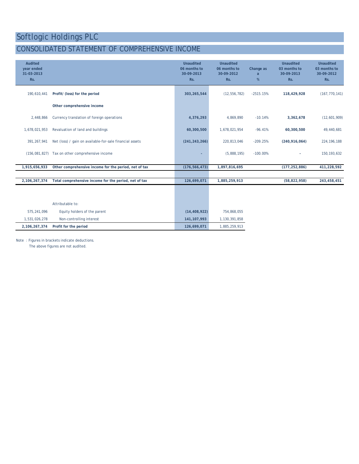### CONSOLIDATED STATEMENT OF COMPREHENSIVE INCOME

| <b>Audited</b><br>year ended<br>31-03-2013<br>Rs. |                                                          | <b>Unaudited</b><br>06 months to<br>30-09-2013<br>Rs. | <b>Unaudited</b><br>06 months to<br>30-09-2012<br>Rs. | Change as<br>a<br>% | <b>Unaudited</b><br>03 months to<br>30-09-2013<br>Rs. | <b>Unaudited</b><br>03 months to<br>30-09-2012<br>Rs. |
|---------------------------------------------------|----------------------------------------------------------|-------------------------------------------------------|-------------------------------------------------------|---------------------|-------------------------------------------------------|-------------------------------------------------------|
| 190,610,441                                       | Profit/ (loss) for the period                            | 303,265,544                                           | (12, 556, 782)                                        | $-2515.15%$         | 118,429,928                                           | (167, 770, 141)                                       |
|                                                   | Other comprehensive income                               |                                                       |                                                       |                     |                                                       |                                                       |
| 2,448,866                                         | Currency translation of foreign operations               | 4,376,293                                             | 4,869,890                                             | $-10.14%$           | 3,362,678                                             | (12,601,909)                                          |
| 1,678,021,953                                     | Revaluation of land and buildings                        | 60,300,500                                            | 1,678,021,954                                         | $-96.41%$           | 60,300,500                                            | 49,440,681                                            |
| 391.267.941                                       | Net (loss) / gain on available-for-sale financial assets | (241, 243, 266)                                       | 220,813,046                                           | $-209.25%$          | (240, 916, 064)                                       | 224, 196, 188                                         |
|                                                   | (156,081,827) Tax on other comprehensive income          | ٠                                                     | (5,888,195)                                           | $-100.00\%$         |                                                       | 150, 193, 632                                         |
| 1,915,656,933                                     | Other comprehensive income for the period, net of tax    | (176, 566, 473)                                       | 1,897,816,695                                         |                     | (177, 252, 886)                                       | 411,228,592                                           |
|                                                   |                                                          |                                                       |                                                       |                     |                                                       |                                                       |
| 2, 106, 267, 374                                  | Total comprehensive income for the period, net of tax    | 126,699,071                                           | 1,885,259,913                                         |                     | (58, 822, 958)                                        | 243,458,451                                           |
|                                                   |                                                          |                                                       |                                                       |                     |                                                       |                                                       |
|                                                   | Attributable to:                                         |                                                       |                                                       |                     |                                                       |                                                       |
| 575, 241, 096                                     | Equity holders of the parent                             | (14, 408, 922)                                        | 754,868,055                                           |                     |                                                       |                                                       |
| 1,531,026,278                                     | Non-controlling interest                                 | 141, 107, 993                                         | 1,130,391,858                                         |                     |                                                       |                                                       |
| 2, 106, 267, 374                                  | Profit for the period                                    | 126,699,071                                           | 1,885,259,913                                         |                     |                                                       |                                                       |
|                                                   |                                                          |                                                       |                                                       |                     |                                                       |                                                       |

Note : Figures in brackets indicate deductions.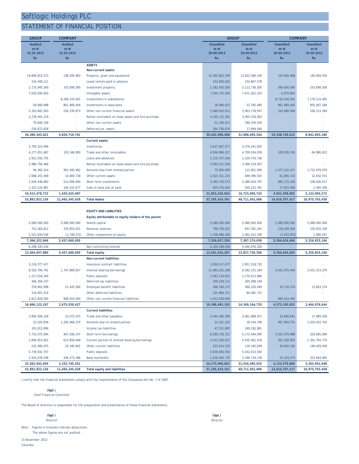### STATEMENT OF FINANCIAL POSITION

| <b>GROUP</b>     | <b>COMPANY</b> |                                                     |                  | <b>GROUP</b>      | <b>COMPANY</b>   |                  |
|------------------|----------------|-----------------------------------------------------|------------------|-------------------|------------------|------------------|
| <b>Audited</b>   | <b>Audited</b> |                                                     | <b>Unaudited</b> | <b>Unaudited</b>  | <b>Unaudited</b> | <b>Unaudited</b> |
| as at            | as at          |                                                     | as at            | as at             | as at            | as at            |
| 31-03-2013       | 31-03-2013     |                                                     | 30-09-2013       | 30-09-2012        | 30-09-2013       | 30-09-2012       |
| Rs.              | Rs.            |                                                     | Rs.              | Rs.               | Rs.              | Rs.              |
|                  |                | <b>ASSETS</b>                                       |                  |                   |                  |                  |
|                  | 138.556.963    | <b>Non-current assets</b>                           |                  |                   | 153.060.468      |                  |
| 14,608,652,573   |                | Property, plant and equipment                       | 15,392,863,359   | 13,832,589,540    |                  | 140,858,550      |
| 154, 349, 111    |                | Lease rentals paid in advance                       | 153,830,642      | 154,867,578       |                  |                  |
| 2,175,045,500    | 333,699,500    | Investment property                                 | 2, 182, 455, 500 | 2,113,736,500     | 394,000,000      | 333,699,500      |
| 7.630.830.620    | $\sim$         | Intangible assets                                   | 7,565,702,585    | 7,671,022,203     | 6,979,893        |                  |
| ÷.               | 8,269,143,001  | Investments in subsidiaries                         |                  |                   | 8,732,039,002    | 7, 176, 214, 483 |
| 58,680,898       | 861, 989, 404  | Investments in associates                           | 36,984,632       | 53,785,485        | 861, 989, 404    | 855,007,284      |
| 5, 163, 842, 563 | 226, 330, 873  | Other non current financial assets                  | 5,689,032,911    | 3,903,178,957     | 210,680,648      | 336.113.369      |
| 4,278,441,219    |                | Rental receivable on lease assets and hire purchase | 4, 105, 132, 282 | 3,955,229,402     |                  |                  |
| 79,828,109       |                | Other non current assets                            | 51,339,913       | 286, 476, 559     |                  |                  |
| 230,672,828      |                | Deferred tax assets                                 | 264,756,674      | 17,609,040        |                  |                  |
| 34,380,343,421   | 9,829,719,741  |                                                     | 35,442,098,498   | 31,988,495,264    | 10,358,749,415   | 8,841,893,186    |
|                  |                | <b>Current assets</b>                               |                  |                   |                  |                  |
| 3,705,323,096    |                | Inventories                                         | 3,617,667,577    | 3,376,241,825     |                  |                  |
| 4,277,651,687    | 103, 346, 900  | Trade and other receivables                         | 4,936,986,317    | 4,709,054,039     | 100,009,745      | 64,986,822       |
| 1,912,559,755    |                | Loans and advances                                  | 2,210,707,434    | 1,229,743,728     |                  |                  |
| 2,986,756,466    | ÷.             | Rental receivable on lease assets and hire purchase | 4,092,512,026    | 2,499,519,567     |                  |                  |
| 94, 382, 414     | 901,045,992    | Amounts due from related parties                    | 75,800,059       | 112,801,580       | 2,477,152,417    | 1,715,479,076    |
| 1,668,241,448    | 14,800,718     | Other current assets                                | 2,623,311,215    | 849, 496, 425     | 61,805,115       | 12,642,551       |
| 3,544,438,862    | 512,099,400    | Short term investments                              | 3,340,759,573    | 3,386,924,797     | 985, 175, 226    | 338, 426, 517    |
| 1,323,124,987    | 104, 332, 677  | Cash in hand and at bank                            | 955,576,642      | 559, 223, 781     | 27,815,499       | 2,365,306        |
| 19,512,478,715   | 1,635,625,687  |                                                     | 21,853,320,843   | 16,723,005,742    | 3,651,958,002    | 2,133,900,272    |
| 53,892,822,136   | 11,465,345,428 | <b>Total Assets</b>                                 | 57,295,419,341   | 48,711,501,006    | 14,010,707,417   | 10,975,793,458   |
|                  |                |                                                     |                  |                   |                  |                  |
|                  |                | <b>EQUITY AND LIABILITIES</b>                       |                  |                   |                  |                  |
|                  |                | Equity attributable to equity holders of the parent |                  |                   |                  |                  |
| 5,089,000,000    | 5,089,000,000  | Stated capital                                      | 5,089,000,000    | 5,089,000,000     | 5,089,000,000    | 5,089,000,000    |
| 753, 383, 812    | 370,810,021    | Revenue reserves                                    | 799,728,822      | 837, 261, 261     | 218, 458, 564    | 235, 925, 109    |
| 1,523,939,034    | (2,749,371)    | Other components of equity                          | 1,438,088,428    | 1,461,012,769     | (3, 433, 870)    | 1,900,057        |
| 7,366,322,846    | 5,457,060,650  |                                                     | 7,326,817,250    | 7,387,274,030     | 5,304,024,694    | 5,326,825,166    |
| 6,298,335,034    |                | Non-controlling interest                            | 6,324,199,038    | 5,440,476,326     |                  |                  |
| 13,664,657,880   | 5,457,060,650  | <b>Total equity</b>                                 | 13,651,016,287   | 12,827,750,356    | 5,304,024,694    | 5,326,825,166    |
|                  |                | <b>Non-current liabilities</b>                      |                  |                   |                  |                  |
| 3,218,377,437    |                | Insurance contract liabilities                      | 3,659,317,677    | 2,851,518,732     |                  |                  |
| 9,555,794,761    | 1,747,689,927  | Interest bearing borrowings                         | 11,983,015,189   | 9,582,231,184     | 3,641,975,649    | 2,431,313,370    |
| 1,217,018,340    |                | Public deposits                                     | 1,043,134,631    | 1,170,013,880     |                  |                  |
| 366, 359, 147    |                | Deferred tax liabilities                            | 359,529,112      | 305,098,149       |                  |                  |
| 378,902,998      | 21,435,500     | Employee benefit liabilities                        | 408,784,272      | 360,220,049       | 24,716,274       | 13,663,274       |
| 116,841,514      |                | Other deferred liabilities                          | 101,884,311      | 80,082,731        |                  |                  |
| 1,812,828,000    | 906, 414, 000  | Other non current financial liabilities             | 1,812,828,000    |                   | 906,414,000      |                  |
| 16,666,122,197   | 2,675,539,427  |                                                     | 19,368,493,192   | 14, 349, 164, 725 | 4,573,105,923    | 2,444,976,644    |
|                  |                | <b>Current liabilities</b>                          |                  |                   |                  |                  |
| 3,894,506,258    | 15,072,075     | Trade and other payables                            | 4,444,366,309    | 3,661,668,971     | 33,684,641       | 17,985,428       |
| 22,020,839       | 1,295,466,270  | Amounts due to related parties                      | 22, 161, 262     | 18, 104, 799      | 967, 964, 751    | 1,024,052,743    |
| 191,813,896      | $\sim$         | Income tax liabilities                              | 47,551,897       | 249, 192, 881     |                  |                  |
| 7,710,575,994    | 947, 436, 147  | Short term borrowings                               | 8,590,739,311    | 5, 172, 444, 095  | 2,501,979,988    | 329,895,084      |
| 2,846,653,852    | 613,856,649    | Current portion of interest bearing borrowings      | 3,411,036,627    | 4,935,461,618     | 561, 558, 955    | 1,361,783,770    |
| 232,460,475      | 24,340,842     | Other current liabilities                           | 222,614,129      | 116, 165, 839     | 43,064,192       | 146,429,658      |
| 5,739,932,707    |                | Public deposits                                     | 5,918,845,592    | 5,032,813,583     |                  |                  |
| 2,924,078,038    | 436, 573, 368  | <b>Bank overdrafts</b>                              | 1,618,594,735    | 2,348,734,139     | 25, 324, 273     | 323,844,965      |
| 23,562,042,059   | 3,332,745,351  |                                                     | 24,275,909,862   | 21,534,585,925    | 4,133,576,800    | 3,203,991,648    |
| 53,892,822,136   | 11,465,345,428 | <b>Total equity and liabilities</b>                 | 57,295,419,341   | 48,711,501,006    | 14,010,707,417   | 10,975,793,458   |

I certify that the financial statements comply with the requirements of the Companies Act No. 7 of 2007.

#### *(Sgd.)* Chief Financial Controller

The Board of directors is responsible for the preparation and presentation of these financial statements.

| (Sgd.)                                | (Sgd.)   |
|---------------------------------------|----------|
| Director                              | Director |
| ومعافصياتهما وفوعلاهما وفوعاوهما والر |          |

Note : Figures in brackets indicate deductions. The above figures are not audited.

15 November 2013 Colombo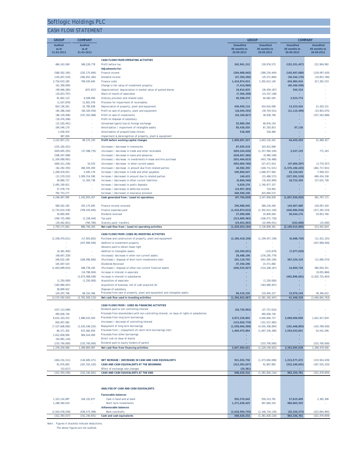### CASH FLOW STATEMENT

| <b>GROUP</b>                          | <b>COMPANY</b>                      |                                                                                                                  | <b>GROUP</b>                      |                                     | <b>COMPANY</b>                 |                                |
|---------------------------------------|-------------------------------------|------------------------------------------------------------------------------------------------------------------|-----------------------------------|-------------------------------------|--------------------------------|--------------------------------|
| <b>Audited</b>                        | <b>Audited</b>                      |                                                                                                                  | <b>Unaudited</b>                  | <b>Unaudited</b>                    | <b>Unaudited</b>               | <b>Unaudited</b>               |
| as at<br>31-03-2013                   | as at<br>31-03-2013                 |                                                                                                                  | 06 months to<br>30-09-2013        | 06 months to<br>30-09-2012          | 06 months to<br>30-09-2013     | 06 months to<br>30-09-2012     |
|                                       |                                     |                                                                                                                  |                                   |                                     |                                |                                |
| 484, 243, 569                         | 348, 228, 778                       | <b>CASH FLOWS FROM OPERATING ACTIVITIES</b><br>Profit before tax                                                 | 342,961,312                       | 130,976,575                         | (152, 351, 457)                | 212,904,992                    |
|                                       |                                     | <b>Adjustments for:</b>                                                                                          |                                   |                                     |                                |                                |
| (580, 502, 165)                       | (255, 175, 695)                     | Finance income                                                                                                   | (294, 988, 045)                   | (289, 234, 440)                     | (145,607,680)                  | (129, 097, 420)                |
| (145,007,524)                         | (360, 652, 382)                     | Dividend income<br>Finance costs                                                                                 | (37, 350, 296)                    | (35, 371, 860)                      | (30, 544, 176)                 | (19, 853, 766)                 |
| 2,754,633,185<br>(61, 309, 000)       | 709,435,645<br>×.                   | Change in fair value of investment property                                                                      | 1,410,874,015<br>(7, 410, 000)    | 1,302,612,140<br>×                  | 426,984,916<br>(60, 300, 500)  | 317,281,533                    |
| (99, 946, 285)                        | (872, 857)                          | (Appreciation)/ depreciation in market value of quoted shares                                                    | 19,816,825                        | (39, 459, 187)                      | 545,519                        |                                |
| (20, 823, 707)                        |                                     | Share of results of associates                                                                                   | (7, 366, 298)                     | (15, 537, 148)                      |                                |                                |
| 81, 842, 123<br>(1,037,876)           | 8,508,006                           | Gratuity provision and related costs<br>Provision for impairment of receivables                                  | 49,568,474                        | 44,682,565                          | 3,523,774                      |                                |
| 824, 136, 261                         | 11,601,478<br>25,785,838            | Depreciation of property, plant and equipment                                                                    | 436, 956, 114                     | 410,624,008                         | 13,223,426                     | 21,420,231                     |
| (85, 286, 164)                        | (60, 320, 550)                      | Profit on sale of property, plant and equipment                                                                  | (18,039,255)                      | (39, 793, 551)                      | (11, 115, 499)                 | (33,903,075)                   |
| (86, 159, 406)                        | (337, 263, 068)                     | Profit on sale of investments                                                                                    | (34, 169, 827)                    | 38,928,766                          |                                | (337, 263, 068)                |
| (16, 476, 268)                        |                                     | Profit on disposal of subsidiary                                                                                 |                                   |                                     |                                |                                |
| (21, 520, 441)<br>194,546,170         |                                     | Unrealised (gain)/loss on foreign exchange<br>Amortisation / impairment of intangible assets                     | 52,889,294<br>85,436,555          | 46,876,154<br>87,293,853            | 97,136                         |                                |
| 1,036,933                             |                                     | Amortisation of prepaid lease rentals                                                                            | 518,469                           | 518,466                             |                                |                                |
| 487,826                               |                                     | Impairment & derecognition of property, plant & equipment                                                        |                                   |                                     |                                |                                |
| 3,222,857,231                         | 89,275,193                          | Profit before working capital changes                                                                            | 1,999,697,337                     | 1,643,116,341                       | 44,455,459                     | 31,489,427                     |
| (225, 165, 421)                       |                                     | (Increase) / decrease in inventories                                                                             | 87,655,519                        | 103,915,848                         |                                |                                |
| (829, 605, 355)                       | (37.588.735)                        | (Increase) / decrease in trade and other receivable                                                              | (659, 334, 630)                   | (1.357.994.100)                     | 3,337,155                      | 771,343                        |
| (598, 297, 098)                       |                                     | (Increase) / decrease in loans and advances                                                                      | (628, 047, 366)                   | (8,984,548)                         |                                |                                |
| (1, 204, 089, 991)<br>(660, 411, 236) | 10,033                              | (Increase) / decrease in investments in lease and hire purchase<br>(Increase) / decrease in other current assets | (932, 446, 623)<br>(955,069,768)  | (403, 736, 488)<br>227,671,914      | (47,004,397)                   | (3,770,557)                    |
| (82, 292, 355)                        | 266,505,459                         | (Increase) / decrease in amount due from related parties                                                         | 18,582,355                        | (100, 711, 521)                     | (1, 576, 106, 425)             | (482, 717, 651)                |
| 1,269,419,053                         | 5.045.179                           | Increase / (decrease) in trade and other payables                                                                | 549,860,047                       | 1,068,977,964                       | 26, 156, 542                   | 7.958.533                      |
| (11, 570, 532)                        | 1,009,314,590                       | Increase / (decrease) in amount due to related parties                                                           | 140,423                           | (15, 486, 572)                      | (327, 501, 519)                | 690, 434, 338                  |
| 39,890,727                            | 11,393,738                          | Increase / (decrease) in other current liabilities                                                               | (9,846,346)                       | (76, 403, 909)                      | 18,723,350                     | 137,631,738                    |
| 2,495,100,921<br>37,478,774           |                                     | Increase / (decrease) in public deposits<br>Increase / (decrease) in deferred income                             | 5,029,176<br>(14, 957, 203)       | 1,740,977,337<br>719,992            |                                | ٠                              |
| 792, 753, 277                         |                                     | Increase / (decrease) in Insurance provision                                                                     | 440,940,240                       | 425,894,572                         |                                |                                |
| 4,246,067,995                         | 1,343,955,457                       | Cash generated from / (used in) operations                                                                       | (97, 796, 839)                    | 3,247,956,830                       | (1, 857, 939, 835)             | 381,797,171                    |
|                                       |                                     |                                                                                                                  |                                   |                                     |                                |                                |
| 580, 502, 165<br>(2,733,010,156)      | 255, 175, 695<br>(709, 435, 645)    | Finance income received<br>Finance expenses paid                                                                 | 294,988,045<br>(1, 410, 874, 015) | 289, 234, 440<br>(1, 302, 612, 140) | 145,607,680<br>(426, 984, 916) | 129,097,420<br>(317, 281, 533) |
| 19,800,000                            |                                     | Dividend received                                                                                                | 27,000,000                        | 19,800,000                          | 30,544,176                     | 19,853,766                     |
| (290, 725, 490)                       | (2, 228, 444)                       | Tax paid                                                                                                         | (213, 689, 382)                   | (106, 571, 718)                     |                                |                                |
| (29, 462, 851)                        | (760, 780)                          | Gratuity paid/ transfers                                                                                         | (19,652,003)                      | (10, 999, 051)                      | (243,000)                      | (25,000)                       |
| 1,793,171,663                         | 886,706,283                         | Net cash flow from / (used in) operating activities                                                              | (1, 420, 024, 194)                | 2,136,808,361                       | (2, 109, 015, 895)             | 213,441,824                    |
|                                       |                                     | CASH FLOWS FROM /(USED IN) INVESTING ACTIVITIES                                                                  |                                   |                                     |                                |                                |
| (2, 258, 470, 611)                    | (17,003,802)                        | Purchase and construction of property, plant and equipment                                                       | (1, 186, 418, 158)                | (1, 199, 457, 158)                  | (6,688,720)                    | (11, 421, 315)                 |
| ٠                                     | (207, 999, 500)                     | Addition to investment property                                                                                  |                                   |                                     |                                | (207, 999, 500)                |
| (8, 381, 405)                         |                                     | Advance paid to obtain lease right<br>Addition to intangible assets                                              | (20, 359, 031)                    | (125, 879)                          | (7,077,029)                    |                                |
| (69, 647, 329)                        |                                     | (Increase)/ decrease in other non current assets                                                                 | 28,488,196                        | (276, 295, 779)                     |                                |                                |
| 246,632,160                           | (184, 490, 600)                     | (Purchase) / disposal of short term investments (net)                                                            | 201, 110, 702                     | (641,000,194)                       | 507,224,210                    | (11,690,574)                   |
| 145,007,524                           |                                     | <b>Dividends Received</b>                                                                                        | 37,350,296                        | 15,571,860                          |                                |                                |
| (1,603,699,653)                       | 448,739,245<br>(14, 788, 004)       | (Purchase) / disposal of other non current financial assets<br>Increase in interest in associate                 | (436, 533, 927)                   | (214, 208, 187)                     | 14,965,726                     | 580,650,351<br>(9,055,884)     |
|                                       | (2,873,468,038)                     | Increase in interest in subsidiaries                                                                             |                                   |                                     | (462, 896, 001)                | (2,025,725,463)                |
| (1, 250, 000)                         | (1, 250, 000)                       | Acquisition of associate                                                                                         |                                   | (1, 250, 000)                       |                                |                                |
| (183, 980, 447)                       |                                     | Acquisition of business, net of cash acquired (A)                                                                |                                   | (183, 980, 447)                     |                                |                                |
| 28,899,922                            |                                     | Disposal of subsidiary<br>Proceeds from sale of property, plant and equipment and intangible assets              |                                   |                                     |                                |                                |
| 129, 297, 796<br>575.592.043          | 68,332,566<br>(2)<br>781<br>928.133 | Net cash flow used in investing activities                                                                       | 69,519,235<br>(1.306.842.687)     | 119,400,337<br>381, 345, 447)       | 15,970,143<br>61,498,329       | 38,396,622<br>646, 845, 763)   |
|                                       |                                     |                                                                                                                  |                                   |                                     |                                |                                |
|                                       |                                     | CASH FLOWS FROM / (USED IN) FINANCING ACTIVITIES<br>Dividend paid to non controlling interest                    |                                   |                                     |                                |                                |
| (437, 113, 099)<br>495, 836, 726      |                                     | Proceeds from shareholders with non-controlling interest, on issue of rights in subsidiaries                     | (20, 730, 992)                    | (27, 757, 610)<br>495,836,726       |                                |                                |
| 6,615,163,253                         | 1,980,633,593                       | Proceeds from long term borrowings                                                                               | 3,872,228,805                     | 5,040,846,727                       | 2,000,000,000                  | 1,622,427,834                  |
| 650, 407, 082                         |                                     | (Increase) / decrease of controlling interest                                                                    | (115, 026, 776)                   | (151, 537, 482)                     |                                |                                |
| (7, 527, 608, 082)                    | (1, 933, 546, 255)                  | Repayment of long term borrowings                                                                                | (1,558,046,300)                   | (4, 505, 308, 894)                  | (191, 448, 803)                | (143, 789, 930)                |
| 86, 371, 302                          | 672,082,659                         | Proceeds from / (repayment of) short term borrowings (net)<br>Proceeds from other borrowings                     | 1,469,475,894                     | (1, 847, 536, 389)                  | 1,554,543,841                  | 54, 541, 596                   |
| 1,812,828,000<br>(83,981,116)         | 904,414,000                         | Direct cost on issue of shares                                                                                   |                                   | ٠                                   |                                |                                |
| (233, 700, 000)                       | (233, 700, 000)                     | Dividend paid to equity holders of parent                                                                        |                                   | (233, 700, 000)                     |                                | (233, 700, 000)                |
| 1,378,204,066                         | 1,389,883,997                       | Net cash flow from financing activities                                                                          | 3,647,900,631                     | (1, 229, 156, 922)                  | 3,363,095,038                  | 1,299,479,500                  |
|                                       |                                     |                                                                                                                  |                                   |                                     |                                |                                |
| (404, 216, 311)                       | (144, 685, 471)                     | NET INCREASE / (DECREASE) IN CASH AND CASH EQUIVALENTS                                                           | 921,033,750                       | (1, 473, 694, 008)                  | 1,315,577,472                  | (133, 924, 439)                |
| 91,876,892                            | (187, 555, 220)                     | CASH AND CASH EQUIVALENTS AT THE BEGINNING                                                                       | (312, 393, 037)                   | 91,867,892                          | (332, 240, 691)                | (187, 555, 220)                |
| (53, 617)                             |                                     | Effect of exchange rate changes                                                                                  | (20, 381)                         |                                     |                                |                                |
| (312, 393, 036)                       | (332, 240, 691)                     | CASH AND CASH EQUIVALENTS AT THE END                                                                             | 608,620,332                       | (1, 381, 826, 116)                  | 983, 336, 781                  | (321, 479, 659)                |
|                                       |                                     |                                                                                                                  |                                   |                                     |                                |                                |
|                                       |                                     |                                                                                                                  |                                   |                                     |                                |                                |
|                                       |                                     | ANALYSIS OF CASH AND CASH EQUIVALENTS                                                                            |                                   |                                     |                                |                                |
|                                       |                                     | <b>Favourable balances</b>                                                                                       |                                   |                                     |                                |                                |
| 1,323,124,987                         | 104, 332, 677                       | Cash in hand and at bank                                                                                         | 955,576,642                       | 559, 223, 781                       | 27,815,499                     | 2,365,306                      |
| 1,288,560,014                         |                                     | Short term investments<br><b>Unfavourable balances</b>                                                           | 1,271,638,425                     | 407,684,242                         | 980, 845, 555                  |                                |
| (2, 924, 078, 038)                    | (436, 573, 368)                     | <b>Bank overdrafts</b>                                                                                           | (1,618,594,735)                   | (2, 348, 734, 139)                  | (25, 324, 273)                 | (323, 844, 965)                |
| (312, 393, 037)                       | (332, 240, 691)                     | Cash and cash equivalents                                                                                        | 608,620,332                       | (1, 381, 826, 116)                  | 983, 336, 781                  | (321, 479, 659)                |

Note : Figures in brackets indicate deductions.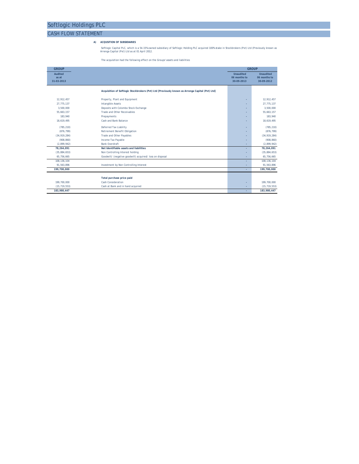### CASH FLOW STATEMENT

**A) ACQUSITION OF SUBSIDIARIES**

Softlogic Capital PLC, which is a 54.15% owned subsidiary of Softlogic Holding PLC acquired 100% stake in Stockbrokers (Pvt) Ltd (Previously known as Arrenga Capital (Pvt) Ltd as at 01 April 2012.

The acquisition had the following effect on the Groups' assets and liabilities

| <b>GROUP</b>                          |                                                                                                 |                                                | <b>GROUP</b>                                   |  |
|---------------------------------------|-------------------------------------------------------------------------------------------------|------------------------------------------------|------------------------------------------------|--|
| <b>Audited</b><br>as at<br>31-03-2013 |                                                                                                 | <b>Unaudited</b><br>06 months to<br>30-09-2013 | <b>Unaudited</b><br>06 months to<br>30-09-2012 |  |
|                                       | Acquisition of Softlogic Stockbrokers (Pvt) Ltd [Previously known as Arrenga Capital (Pvt) Ltd] |                                                |                                                |  |
| 12.912.457                            | Property, Plant and Equipment                                                                   | ۰                                              | 12.912.457                                     |  |
| 27.775.137                            | <b>Intangible Assets</b>                                                                        | ٠                                              | 27.775.137                                     |  |
| 3.500.000                             | Deposits with Colombo Stock Exchange                                                            |                                                | 3.500.000                                      |  |
| 55,663,157                            | <b>Trade and Other Receivables</b>                                                              | ٠                                              | 55,663,157                                     |  |
| 183.940                               | Prepayments                                                                                     |                                                | 183.940                                        |  |
| 18,619,495                            | Cash and Bank Balance                                                                           | ٠                                              | 18,619,495                                     |  |
| (785, 210)                            | <b>Deferred Tax Liability</b>                                                                   | ۰                                              | (785, 210)                                     |  |
| (876.799)                             | <b>Retirement Benefit Obligation</b>                                                            | ٠                                              | (876, 799)                                     |  |
| (34, 919, 284)                        | Trade and Other Payables                                                                        | ÷                                              | (34, 919, 284)                                 |  |
| (908, 860)                            | Income Tax Payable                                                                              | ٠                                              | (908, 860)                                     |  |
| (2.899.942)                           | <b>Bank Overdraft</b>                                                                           | ٠                                              | (2,899,942)                                    |  |
| 78.264.091                            | Net Identifiable assets and liabilities                                                         | ٠                                              | 78,264,091                                     |  |
| (35, 884, 653)                        | Non Controlling Interest holding                                                                | ٠                                              | (35, 884, 653)                                 |  |
| 65,756,665                            | Goodwill/ (negative goodwill) acquired/ loss on disposal                                        | ٠                                              | 65,756,665                                     |  |
| 108, 136, 104                         |                                                                                                 | ٠                                              | 108, 136, 104                                  |  |
| 91.563.896                            | Investment by Non Controlling Interest                                                          | ٠                                              | 91,563,896                                     |  |
| 199,700,000                           |                                                                                                 | ٠                                              | 199,700,000                                    |  |
|                                       | Total purchase price paid                                                                       |                                                |                                                |  |
| 199.700.000                           | Cash Consideration                                                                              | ٠                                              | 199,700,000                                    |  |
| (15.719.553)                          | Cash at Bank and in hand acquired                                                               |                                                | (15, 719, 553)                                 |  |
| 183.980.447                           |                                                                                                 |                                                | 183.980.447                                    |  |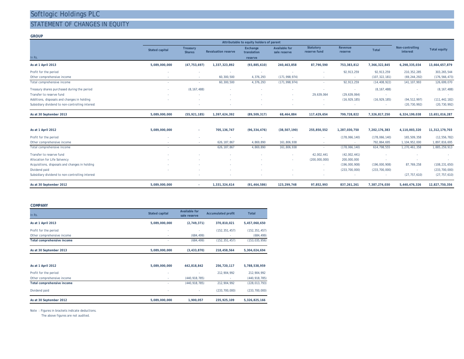### STATEMENT OF CHANGES IN EQUITY

### **GROUP**

|                                                 |                          | Attributable to equity holders of parent |                            |                         |                                      |                                  |                    |                 |                                    |                     |  |  |  |
|-------------------------------------------------|--------------------------|------------------------------------------|----------------------------|-------------------------|--------------------------------------|----------------------------------|--------------------|-----------------|------------------------------------|---------------------|--|--|--|
|                                                 | <b>Stated capital</b>    | <b>Treasury</b><br><b>Shares</b>         | <b>Revaluation reserve</b> | Exchange<br>translation | <b>Available for</b><br>sale reserve | <b>Statutory</b><br>reserve fund | Revenue<br>reserve | <b>Total</b>    | Non-controlling<br><b>interest</b> | <b>Total equity</b> |  |  |  |
| In Rs.                                          |                          |                                          |                            | reserve                 |                                      |                                  |                    |                 |                                    |                     |  |  |  |
| As at 1 April 2013                              | 5,089,000,000            | (47, 753, 697)                           | 1,337,323,892              | (93,885,610)            | 240,463,858                          | 87,790,590                       | 753,383,812        | 7,366,322,845   | 6,298,335,034                      | 13,664,657,879      |  |  |  |
| Profit for the period                           |                          |                                          |                            |                         |                                      |                                  | 92,913,259         | 92,913,259      | 210, 352, 285                      | 303, 265, 544       |  |  |  |
| Other comprehensive income                      |                          |                                          | 60,300,500                 | 4,376,293               | (171, 998, 974)                      |                                  |                    | (107, 322, 181) | (69, 244, 292)                     | (176, 566, 473)     |  |  |  |
| Total comprehensive income                      |                          |                                          | 60,300,500                 | 4,376,293               | (171, 998, 974)                      |                                  | 92,913,259         | (14, 408, 922)  | 141, 107, 993                      | 126,699,070         |  |  |  |
| Treasury shares purchased during the period     | $\overline{\phantom{a}}$ | (8, 167, 488)                            |                            |                         |                                      |                                  |                    | (8, 167, 488)   |                                    | (8, 167, 488)       |  |  |  |
| Transfer to reserve fund                        |                          | ۰.                                       |                            |                         | $\sim$                               | 29,639,064                       | (29,639,064)       |                 |                                    | <b>Service</b>      |  |  |  |
| Additions, disposals and changes in holding     |                          |                                          |                            |                         |                                      |                                  | (16, 929, 185)     | (16, 929, 185)  | (94, 512, 997)                     | (111, 442, 182)     |  |  |  |
| Subsidiary dividend to non-controlling interest |                          |                                          |                            |                         |                                      | $\sim$                           |                    |                 | (20, 730, 992)                     | (20, 730, 992)      |  |  |  |
| As at 30 September 2013                         | 5,089,000,000            | (55, 921, 185)                           | 1,397,624,392              | (89, 509, 317)          | 68,464,884                           | 117,429,654                      | 799,728,822        | 7,326,817,250   | 6,324,199,038                      | 13,651,016,287      |  |  |  |

| As at 1 April 2012                              | 5,089,000,000 | 705, 136, 747 | (96, 334, 476) | (38, 507, 190) | 255,850,552   | 1,287,030,750   | 7,202,176,383   | 4,110,003,320  | 11,312,179,703  |
|-------------------------------------------------|---------------|---------------|----------------|----------------|---------------|-----------------|-----------------|----------------|-----------------|
| Profit for the period                           |               |               |                |                |               | (178,066,140)   | (178,066,140)   | 165,509,358    | (12, 556, 782)  |
| Other comprehensive income                      |               | 626.187.867   | 4,869,890      | 161.806.938    |               |                 | 792.864.695     | 1,104,952,000  | 1,897,816,695   |
| Total comprehensive income                      |               | 626, 187, 867 | 4,869,890      | 161,806,938    |               | (178,066,140)   | 614,798,555     | 1,270,461,358  | 1,885,259,913   |
| Transfer to reserve fund                        |               |               |                |                | 42.002.441    | (42,002,441)    |                 |                |                 |
| Allocation for Life Solvency                    |               |               |                |                | (200,000,000) | 200,000,000     |                 |                |                 |
| Acquisitions, disposals and changes in holding  |               |               |                |                |               | (196,000,908)   | (196,000,908)   | 87,769,258     | (108, 231, 650) |
| Dividend paid                                   |               |               |                |                |               | (233, 700, 000) | (233, 700, 000) | . .            | (233, 700, 000) |
| Subsidiary dividend to non-controlling interest |               |               |                |                |               |                 |                 | (27, 757, 610) | (27, 757, 610)  |
| As at 30 September 2012                         | 5,089,000,000 | 1,331,324,614 | (91, 464, 586) | 123,299,748    | 97,852,993    | 837.261.261     | 7,387,274,030   | 5,440,476,326  | 12,827,750,356  |

#### **COMPANY**

| In Rs.                            | <b>Stated capital</b> | <b>Available for</b><br>sale reserve | <b>Accumulated profit</b> | <b>Total</b>    |
|-----------------------------------|-----------------------|--------------------------------------|---------------------------|-----------------|
| As at 1 April 2013                | 5,089,000,000         | (2,749,371)                          | 370,810,021               | 5,457,060,650   |
| Profit for the period             | ٠                     |                                      | (152, 351, 457)           | (152, 351, 457) |
| Other comprehensive income        | ٠                     | (684, 499)                           |                           | (684, 499)      |
| Total comprehensive income        | ۰                     | (684, 499)                           | (152, 351, 457)           | (153, 035, 956) |
| As at 30 September 2013           | 5,089,000,000         | (3, 433, 870)                        | 218,458,564               | 5,304,024,694   |
|                                   |                       |                                      |                           |                 |
| As at 1 April 2012                | 5,089,000,000         | 442,818,842                          | 256,720,117               | 5,788,538,959   |
| Profit for the period             |                       |                                      | 212,904,992               | 212,904,992     |
| Other comprehensive income        | ٠                     | (440, 918, 785)                      | ٠                         | (440, 918, 785) |
| <b>Total comprehensive income</b> | ٠                     | (440, 918, 785)                      | 212,904,992               | (228, 013, 793) |
| Dividend paid                     |                       |                                      | (233, 700, 000)           | (233, 700, 000) |
| As at 30 September 2012           | 5,089,000,000         | 1,900,057                            | 235,925,109               | 5,326,825,166   |

Note : Figures in brackets indicate deductions.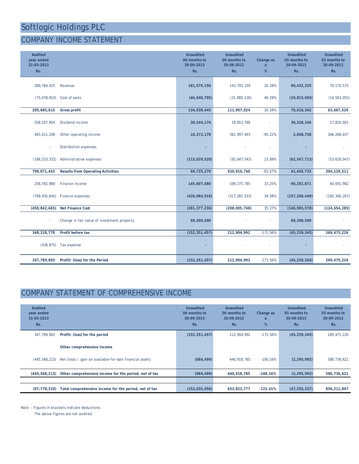### COMPANY INCOME STATEMENT

| <b>Audited</b><br>year ended<br>31-03-2013<br>Rs. |                                             | <b>Unaudited</b><br>06 months to<br>30-09-2013<br>Rs. | <b>Unaudited</b><br>06 months to<br>30-09-2012<br>Rs. | Change as<br>a<br>% | <b>Unaudited</b><br>03 months to<br>30-09-2013<br>Rs. | <b>Unaudited</b><br>03 months to<br>30-09-2012<br>Rs. |
|---------------------------------------------------|---------------------------------------------|-------------------------------------------------------|-------------------------------------------------------|---------------------|-------------------------------------------------------|-------------------------------------------------------|
| 280, 764, 425                                     | Revenue                                     | 181,579,150                                           | 143,792,150                                           | 26.28%              | 90,432,325                                            | 78, 170, 575                                          |
| (75,078,810)                                      | Cost of sales                               | (46, 640, 705)                                        | (31, 885, 126)                                        | 46.28%              | (19, 815, 983)                                        | (14, 503, 055)                                        |
| 205,685,615                                       | <b>Gross profit</b>                         | 134,938,445                                           | 111,907,024                                           | 20.58%              | 70,616,342                                            | 63,667,520                                            |
| 358, 107, 954                                     | Dividend income                             | 30,544,176                                            | 19,853,766                                            |                     | 30,328,346                                            | 17,820,001                                            |
| 403,611,206                                       | Other operating income                      | 18,272,178                                            | 381,997,493                                           | $-95.22%$           | 3,048,758                                             | 366, 268, 037                                         |
|                                                   | <b>Distribution expenses</b>                |                                                       |                                                       |                     |                                                       |                                                       |
| (168, 333, 332)                                   | Administrative expenses                     | (115, 029, 520)                                       | (92, 847, 543)                                        | 23.89%              | (62, 547, 713)                                        | (53, 626, 047)                                        |
| 799,071,443                                       | <b>Results from Operating Activities</b>    | 68,725,279                                            | 420,910,740                                           | $-83.67%$           | 41,445,733                                            | 394,129,511                                           |
| 258,592,980                                       | Finance income                              | 145,607,680                                           | 109,275,785                                           | 33.25%              | 90,282,871                                            | 60,691,982                                            |
| (709, 435, 645)                                   | Finance expenses                            | (426, 984, 916)                                       | (317, 281, 533)                                       | 34.58%              | (237, 268, 449)                                       | (185, 346, 267)                                       |
| (450, 842, 665)                                   | <b>Net Finance Cost</b>                     | (281, 377, 236)                                       | (208,005,748)                                         | 35.27%              | (146, 985, 578)                                       | (124, 654, 285)                                       |
|                                                   | Change in fair value of investment property | 60,300,500                                            |                                                       |                     | 60,300,500                                            |                                                       |
| 348,228,778                                       | Profit before tax                           | (152, 351, 457)                                       | 212,904,992                                           | $-171.56%$          | (45, 239, 345)                                        | 269,475,226                                           |
| (438, 875)                                        | Tax expense                                 |                                                       |                                                       |                     |                                                       |                                                       |
| 347,789,903                                       | Profit/ (loss) for the Period               | (152, 351, 457)                                       | 212,904,992                                           | $-171.56%$          | (45, 239, 345)                                        | 269,475,226                                           |

### COMPANY STATEMENT OF COMPREHENSIVE INCOME

| Audited<br>year ended<br>31-03-2013<br>Rs. |                                                          | <b>Unaudited</b><br>06 months to<br>30-09-2013<br>Rs. | Unaudited<br>06 months to<br>30-09-2012<br>Rs. | Change as<br>a<br>% | Unaudited<br>03 months to<br>30-09-2013<br>Rs. | <b>Unaudited</b><br>03 months to<br>30-09-2012<br>Rs. |
|--------------------------------------------|----------------------------------------------------------|-------------------------------------------------------|------------------------------------------------|---------------------|------------------------------------------------|-------------------------------------------------------|
| 347.789.903                                | Profit/ (loss) for the period                            | (152, 351, 457)                                       | 212.904.992                                    | $-171.56%$          | (45, 239, 345)                                 | 269, 475, 226                                         |
|                                            | Other comprehensive income                               |                                                       |                                                |                     |                                                |                                                       |
| (445, 568, 213)                            | Net (loss) / gain on available-for-sale financial assets | (684, 499)                                            | 440,918,785                                    | $-100.16%$          | (2, 295, 992)                                  | 586,736,621                                           |
| (445, 568, 213)                            | Other comprehensive income for the period, net of tax    | (684, 499)                                            | 440,918,785                                    | $-100.16%$          | (2, 295, 992)                                  | 586,736,621                                           |
|                                            |                                                          |                                                       |                                                |                     |                                                |                                                       |
| (97, 778, 310)                             | Total comprehensive income for the period, net of tax    | (153, 035, 956)                                       | 653,823,777                                    | $-123.41%$          | (47, 535, 337)                                 | 856,211,847                                           |

Note : Figures in brackets indicate deductions.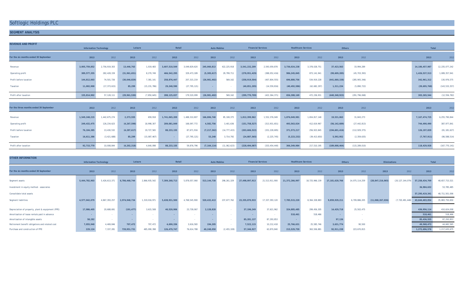### **SEGMENT ANALYSIS**

| <b>REVENUE AND PROFIT</b>               |                               |                |                |                |               |                |                     |                |                           |                 |                            |                |                 |                 |                   |                 |
|-----------------------------------------|-------------------------------|----------------|----------------|----------------|---------------|----------------|---------------------|----------------|---------------------------|-----------------|----------------------------|----------------|-----------------|-----------------|-------------------|-----------------|
|                                         | <b>Information Technology</b> |                | Leisure        |                | Retail        |                | <b>Auto Mobiles</b> |                | <b>Financial Services</b> |                 | <b>Healthcare Services</b> |                | Others          |                 | Total             |                 |
| For the six months ended 30 September   | 2013                          | 2012           | 2013           | 2012           | 2013          | 2012           | 2013                | 2012           | 2013                      | 2012            | 2013                       | 2012           | 2013            | 2012            | 2013              | 201             |
| Revenue                                 | 3.005.759.852                 | 2,756,919,303  | 13,446,763     | 1.019.483      | 3,607,510,549 | 3.049.829.620  | 245,060,813         | 422, 225, 918  | 3,541,232,209             | 2,593,059,878   | 3,736,024,238              | 3,378,028,751  | 37,423,563      | 33.994.289      | 14, 186, 457, 987 | 12,235,077,242  |
| Operating profit                        | 389,577,355                   | 282,428,159    | (31, 961, 651) | 8.270.749      | 466,542,295   | 329,473,189    | (5, 305, 617)       | 29,799,711     | (278, 951, 429)           | (388,052,416)   | 986,245,845                | 873.141.941    | (99,609,285)    | (45, 703, 393)  | 1,426,537,513     | 1,089,357,941   |
| Profit before taxation                  | 144,812,003                   | 74,501,726     | (30,046,829)   | 7.381.141      | 258,876,447   | 207, 315, 219  | (26, 981, 402)      | 569.162        | (258, 919, 504)           | (407, 804, 555) | 696,880,756                | 534,919,228    | (441, 660, 158) | (285, 905, 346) | 342,961,312       | 130,976,575     |
| Taxation                                | 11,002,900                    | (17, 373, 615) | 85,299         | (15, 231, 786) | 29.248.590    | (27, 795, 121) |                     | $\sim$         | (40, 851, 205)            | (14, 559, 816)  | (40, 492, 586)             | (62, 682, 297) | 1.311.234       | (5,890,722)     | (39,695,768)      | (143, 533, 357) |
| Profit after taxation                   | 155,814,902                   | 57, 128, 111   | (29, 961, 530) | (7,850,645)    | 288,125,037   | 179,520,099    | (26,981,402)        | 569,162        | (299, 770, 709)           | (422, 364, 371) | 656,388,169                | 472,236,931    | (440, 348, 923) | (291, 796, 068) | 303,265,544       | (12, 556, 782)  |
|                                         |                               |                |                |                |               |                |                     |                |                           |                 |                            |                |                 |                 |                   |                 |
| For the three months ended 30 September | 2013                          | 2012           | 2013           | 2012           | 2013          | 2012           | 2013                | 2012           | 2013                      | 2012            | 2013                       | 2012           | 2013            | 2012            | 2013              | 2012            |
| Revenue                                 | 1,549,248,215                 | 1,442,675,274  | 2,373,555      | 659.918        | 1,741,065,209 | 1,488,310,807  | 166,806,740         | 85, 108, 375   | 1,812,399,962             | 1,552,376,049   | 1,876,049,981              | 1,654,817,148  | 19,531,063      | 31,843,273      | 7, 167, 474, 725  | 6,255,790,844   |
| Operating profit                        | 249,432,475                   | 126,234,623    | (4, 267, 598)  | 18.998.307     | 209,081,049   | 168,097,772    | 4,582,756           | 3,401,636      | (151, 758, 527)           | (313, 931, 651) | 493,563,024                | 412,619,967    | (56, 142, 689)  | (27, 442, 813)  | 744,490,490       | 387, 977, 841   |
| Profit before taxation                  | 76,104,385                    | 13,430,532     | (4, 287, 617)  | 19,727,565     | 88,233,155    | 87,671,916     | (7, 217, 362)       | (14, 777, 415) | (203, 606, 522)           | (331, 228, 695) | 371,573,217                | 256,923,845    | (194, 601, 416) | (112, 929, 375) | 126, 197, 839     | (81, 181, 627)  |
| Taxation                                | 16,611,386                    | (3, 421, 688)  | 85,299         | (15,087,467)   |               | (27, 795, 121) | 53,248              | 3,714,792      | (24, 887, 565)            | (2, 225, 745)   | (5, 223, 232)              | (39, 413, 650) | 5,592,952       | (2, 359, 635)   | (7, 767, 911)     | (86, 588, 514)  |
| Profit after taxation                   | 92,715,770                    | 10,008,844     | (4, 202, 318)  | 4,640,098      | 88,233,155    | 59,876,796     | (7, 164, 114)       | (11,062,623)   | (228, 494, 087)           | (333, 454, 440) | 366,349,984                | 217,510,195    | (189,008,464)   | (115, 289, 010) | 118,429,928       | (167, 770, 141) |

| <b>OTHER INFORMATION</b>                          |               |                               |               |               |               |               |                     |               |                |                           |                            |                |                   |                |                     |                     |                |                |
|---------------------------------------------------|---------------|-------------------------------|---------------|---------------|---------------|---------------|---------------------|---------------|----------------|---------------------------|----------------------------|----------------|-------------------|----------------|---------------------|---------------------|----------------|----------------|
|                                                   |               | <b>Information Technology</b> |               | Leisure       | Retail        |               | <b>Auto Mobiles</b> |               |                | <b>Financial Services</b> | <b>Healthcare Services</b> |                |                   | <b>Others</b>  | <b>Eliminations</b> |                     |                | Total          |
| For the six months ended 30 September             | 2013          | 2012                          | 2013          | 2012          | 2013          | 2012          | 2013                | 2012          | 2013           | 2012                      | 2013                       | 2012           | 2013              | 2012           | 2013                | 2012                | 2013           | 2012           |
| Segment assets                                    | 5,444,782,903 | 5,426,613,371                 | 6,786,468,744 | 2,866,935,542 | 7,309,268,713 | 5,878,057,060 | 513, 144, 738       | 298, 261, 329 | 27,498,097,913 | 21,513,911,900            | 21,372,266,997             | 18,725,966,139 | 17, 181, 620, 766 | 14,075,114,259 | (28, 847, 216, 065) | (20, 127, 144, 079) | 57,258,434,709 | 48,657,715,521 |
| Investment in equity method - associates          |               |                               |               |               |               |               |                     |               |                |                           |                            |                |                   |                |                     |                     | 36,984,632     | 53,785,485     |
| Consolidate total assets                          |               |                               |               |               |               |               |                     |               |                |                           |                            |                |                   |                |                     |                     | 57,295,419,341 | 48,711,501,006 |
| Segment liabilities                               | 4,577,042,079 | 4,867,393,257                 | 2,974,948,734 | 1,319,016,971 | 5,638,931,500 | 4,768,545,900 | 520,432,413         | 237,677,762   | 23,355,870,933 | 17,337,393,120            | 7,785,515,220              | 8,364,328,883  | 9,859,929,211     | 6,709,886,205  | (11,068,267,036)    | (7, 720, 491, 448)  | 43,644,403,054 | 35,883,750,650 |
| Depreciation of property, plant & equipment (PPE) | 17,986,405    | 20,688,691                    | (191, 477)    | 3,615,508     | 40,520,906    | 23,739,067    | 2,128,828           |               | 37, 196, 249   | 37,621,962                | 324,885,485                | 299,456,305    | 14,429,718        | 25,502,475     |                     |                     | 436,956,114    | 410,624,008    |
| Amortisation of lease rentals paid in advance     |               | $\sim$                        |               |               |               |               |                     |               |                | $\sim$                    | 518,461                    | 518,466        |                   |                |                     |                     | 518,461        | 518,466        |
| Amortisation of intangible assets                 | 58,282        |                               |               |               |               |               |                     |               | 85,281,137     | 87,293,853                |                            |                | 97,136            |                |                     |                     | 85,436,555     | 87,293,853     |
| Retirement benefit obligations and related cost   | 7,055,940     | 4,469,846                     | 707,472       | 707.472       | 4,690,336     | 3,616,583     | 194,205             | $\sim$        | 7,522,115      | 10,212,418                | 25,766,631                 | 25,585,746     | 3,631,774         | 90.500         |                     |                     | 49,568,473     | 44,682,565     |
| Purchase and construction of PPE                  | 229,124       | 7,337,281                     | 739,951,731   | 485,090,398   | 126,479,747   | 76,614,788    | 40,248,050          | (2, 455, 328) | 57,346,927     | 63,870,840                | 215,529,759                | 363,506,881    | 92,911,238        | 223,670,815    |                     |                     | 1,272,696,576  | 1,217,635,675  |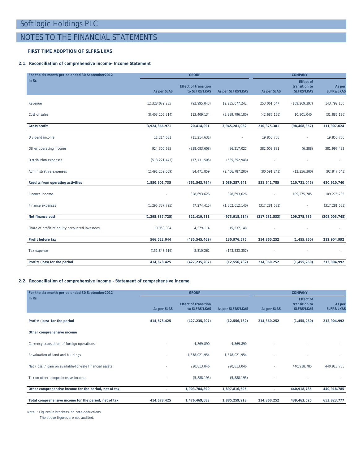### NOTES TO THE FINANCIAL STATEMENTS

### **FIRST TIME ADOPTION OF SLFRS/LKAS**

### **2.1. Reconciliation of comprehensive income- Income Statement**

| For the six month period ended 30 September 2012 |                    | <b>GROUP</b>                                 | <b>COMPANY</b>     |                 |                                                        |                             |
|--------------------------------------------------|--------------------|----------------------------------------------|--------------------|-----------------|--------------------------------------------------------|-----------------------------|
| In Rs.                                           | As per SLAS        | <b>Effect of transition</b><br>to SLFRS/LKAS | As per SLFRS/LKAS  | As per SLAS     | <b>Effect of</b><br>transition to<br><b>SLFRS/LKAS</b> | As per<br><b>SLFRS/LKAS</b> |
| Revenue                                          | 12,328,072,285     | (92, 995, 043)                               | 12,235,077,242     | 253,061,547     | (109, 269, 397)                                        | 143,792,150                 |
| Cost of sales                                    | (8, 403, 205, 314) | 113,409,134                                  | (8, 289, 796, 180) | (42,686,166)    | 10,801,040                                             | (31, 885, 126)              |
| <b>Gross profit</b>                              | 3,924,866,971      | 20,414,091                                   | 3,945,281,062      | 210,375,381     | (98, 468, 357)                                         | 111,907,024                 |
| Dividend income                                  | 11,214,631         | (11, 214, 631)                               | ä,                 | 19,853,766      |                                                        | 19,853,766                  |
| Other operating income                           | 924,300,635        | (838,083,608)                                | 86,217,027         | 382,003,881     | (6, 388)                                               | 381,997,493                 |
| Distribution expenses                            | (518, 221, 443)    | (17, 131, 505)                               | (535, 352, 948)    |                 |                                                        |                             |
| Administrative expenses                          | (2, 491, 259, 059) | 84,471,859                                   | (2, 406, 787, 200) | (80, 591, 243)  | (12, 256, 300)                                         | (92, 847, 543)              |
| Results from operating activities                | 1,850,901,735      | (761, 543, 794)                              | 1,089,357,941      | 531,641,785     | (110, 731, 045)                                        | 420,910,740                 |
| Finance income                                   |                    | 328,693,626                                  | 328,693,626        |                 | 109,275,785                                            | 109, 275, 785               |
| Finance expenses                                 | (1, 295, 337, 725) | (7, 274, 415)                                | (1, 302, 612, 140) | (317, 281, 533) | ٠                                                      | (317, 281, 533)             |
| Net finance cost                                 | (1, 295, 337, 725) | 321,419,211                                  | (973, 918, 514)    | (317, 281, 533) | 109,275,785                                            | (208,005,748)               |
| Share of profit of equity accounted investees    | 10,958,034         | 4,579,114                                    | 15,537,148         |                 |                                                        |                             |
| Profit before tax                                | 566,522,044        | (435, 545, 469)                              | 130,976,575        | 214,360,252     | (1, 455, 260)                                          | 212,904,992                 |
| Tax expense                                      | (151, 843, 619)    | 8,310,262                                    | (143, 533, 357)    |                 |                                                        |                             |
| Profit/ (loss) for the period                    | 414,678,425        | (427, 235, 207)                              | (12, 556, 782)     | 214,360,252     | (1, 455, 260)                                          | 212,904,992                 |

### **2.2. Reconciliation of comprehensive income - Statement of comprehensive income**

| For the six month period ended 30 September 2012         |             | <b>GROUP</b>                                 |                   | <b>COMPANY</b> |                                                        |                             |  |  |
|----------------------------------------------------------|-------------|----------------------------------------------|-------------------|----------------|--------------------------------------------------------|-----------------------------|--|--|
| In Rs.                                                   | As per SLAS | <b>Effect of transition</b><br>to SLFRS/LKAS | As per SLFRS/LKAS | As per SLAS    | <b>Effect of</b><br>transition to<br><b>SLFRS/LKAS</b> | As per<br><b>SLFRS/LKAS</b> |  |  |
| Profit/ (loss) for the period                            | 414,678,425 | (427, 235, 207)                              | (12, 556, 782)    | 214,360,252    | (1,455,260)                                            | 212,904,992                 |  |  |
| Other comprehensive income                               |             |                                              |                   |                |                                                        |                             |  |  |
| Currency translation of foreign operations               | ٠           | 4,869,890                                    | 4,869,890         |                |                                                        |                             |  |  |
| Revaluation of land and buildings                        | ٠           | 1,678,021,954                                | 1,678,021,954     |                |                                                        |                             |  |  |
| Net (loss) / gain on available-for-sale financial assets |             | 220,813,046                                  | 220,813,046       | ٠              | 440,918,785                                            | 440,918,785                 |  |  |
| Tax on other comprehensive income                        |             | (5,888,195)                                  | (5,888,195)       |                |                                                        |                             |  |  |
| Other comprehensive income for the period, net of tax    | ٠           | 1,903,704,890                                | 1,897,816,695     | $\sim$         | 440,918,785                                            | 440,918,785                 |  |  |
| Total comprehensive income for the period, net of tax    | 414,678,425 | 1,476,469,683                                | 1,885,259,913     | 214,360,252    | 439,463,525                                            | 653,823,777                 |  |  |

Note : Figures in brackets indicate deductions.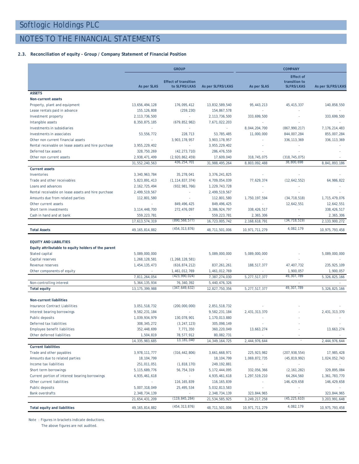### NOTES TO THE FINANCIAL STATEMENTS

### **2.3. Reconciliation of equity - Group / Company Statement of Financial Position**

|                                                     |                   | <b>GROUP</b>                                 |                   |                  | <b>COMPANY</b>                     |                          |
|-----------------------------------------------------|-------------------|----------------------------------------------|-------------------|------------------|------------------------------------|--------------------------|
|                                                     |                   |                                              |                   |                  | <b>Effect of</b>                   |                          |
|                                                     | As per SLAS       | <b>Effect of transition</b><br>to SLFRS/LKAS | As per SLFRS/LKAS | As per SLAS      | transition to<br><b>SLFRS/LKAS</b> | <b>As per SLFRS/LKAS</b> |
| <b>ASSETS</b>                                       |                   |                                              |                   |                  |                                    |                          |
| <b>Non-current assets</b>                           |                   |                                              |                   |                  |                                    |                          |
| Property, plant and equipment                       | 13,656,494,128    | 176,095,412                                  | 13,832,589,540    | 95,443,213       | 45, 415, 337                       | 140,858,550              |
| Lease rentals paid in advance                       | 155, 126, 808     | (259, 230)                                   | 154,867,578       | ×.               |                                    |                          |
| Investment property                                 | 2, 113, 736, 500  | $\sim$                                       | 2, 113, 736, 500  | 333,699,500      |                                    | 333,699,500              |
| Intangible assets                                   | 8,350,875,185     | (679, 852, 982)                              | 7,671,022,203     | $\sim$           |                                    | ×.                       |
| Investments in subsidiaries                         | ×.                | ×.                                           | $\sim$            | 8,044,204,700    | (867, 990, 217)                    | 7, 176, 214, 483         |
| Investments in associates                           | 53,556,772        | 228,713                                      | 53,785,485        | 11,000,000       | 844,007,284                        | 855,007,284              |
| Other non current financial assets                  | ×.                | 3,903,178,957                                | 3,903,178,957     | ×.               | 336, 113, 369                      | 336, 113, 369            |
| Rental receivable on lease assets and hire purchase | 3,955,229,402     | ×.                                           | 3,955,229,402     | ٠                |                                    |                          |
| Deferred tax assets                                 | 328,750,269       | (42, 273, 710)                               | 286, 476, 559     |                  |                                    |                          |
| Other non current assets                            | 2,938,471,499     | (2,920,862,459)                              | 17,609,040        | 318,745,075      | (318, 745, 075)                    |                          |
|                                                     | 31,552,240,563    | 436, 254, 701                                | 31,988,495,264    | 8,803,092,488    | 38,800,698                         | 8,841,893,186            |
| <b>Current assets</b>                               |                   |                                              |                   |                  |                                    |                          |
| Inventories                                         | 3,340,963,784     | 35,278,041                                   | 3,376,241,825     | ×.               |                                    |                          |
| Trade and other receivables                         | 5,823,891,413     | (1, 114, 837, 374)                           | 4,709,054,039     | 77,629,374       | (12, 642, 552)                     | 64,986,822               |
| Loans and advances                                  | 2, 162, 725, 494  | (932, 981, 766)                              | 1,229,743,728     | ÷,               |                                    |                          |
| Rental receivable on lease assets and hire purchase | 2,499,519,567     | ×,                                           | 2,499,519,567     | ×.               |                                    |                          |
| Amounts due from related parties                    | 112,801,580       | ×,                                           | 112,801,580       | 1,750,197,594    | (34, 718, 518)                     | 1,715,479,076            |
| Other current assets                                | ×                 | 849,496,425                                  | 849, 496, 425     | $\sim$           | 12,642,551                         | 12,642,551               |
| Short term investments                              | 3, 114, 448, 700  | 272,476,097                                  | 3,386,924,797     | 338, 426, 517    | ٠                                  | 338,426,517              |
| Cash in hand and at bank                            | 559, 223, 781     | (890, 568, 577)                              | 559, 223, 781     | 2,365,306        | (34, 718, 519)                     | 2,365,306                |
|                                                     | 17,613,574,319    |                                              | 16,723,005,742    | 2, 168, 618, 791 |                                    | 2,133,900,272            |
| <b>Total Assets</b>                                 | 49.165.814.882    | (454, 313, 876)                              | 48,711,501,006    | 10,971,711,279   | 4.082.179                          | 10,975,793,458           |
| <b>EQUITY AND LIABILITIES</b>                       |                   |                                              |                   |                  |                                    |                          |
| Equity attributable to equity holders of the parent |                   |                                              |                   |                  |                                    |                          |
| Stated capital                                      | 5,089,000,000     | $\sim$                                       | 5,089,000,000     | 5,089,000,000    |                                    | 5,089,000,000            |
| Capital reserves                                    | 1,268,128,581     | (1, 268, 128, 581)                           |                   |                  |                                    |                          |
| Revenue reserves                                    | 1,454,135,473     | (616, 874, 212)                              | 837, 261, 261     | 188,517,377      | 47,407,732                         | 235, 925, 109            |
| Other components of equity                          | ×.                | 1,461,012,769                                | 1,461,012,769     | ×.               | 1,900,057                          | 1,900,057                |
|                                                     | 7,811,264,054     | (423,990,024)                                | 7,387,274,030     | 5,277,517,377    | 49, 307, 789                       | 5,326,825,166            |
| Non-controlling interest                            | 5, 364, 135, 934  | 76,340,392                                   | 5,440,476,326     |                  |                                    |                          |
| <b>Total equity</b>                                 | 13, 175, 399, 988 | (347,649,632)                                | 12,827,750,356    | 5,277,517,377    | 49, 307, 789                       | 5,326,825,166            |
| <b>Non-current liabilities</b>                      |                   |                                              |                   |                  |                                    |                          |
| Insurance Contract Liabilities                      | 3,051,518,732     | (200,000,000)                                | 2,851,518,732     |                  |                                    |                          |
| Interest bearing borrowings                         | 9,582,231,184     | ×                                            | 9,582,231,184     | 2,431,313,370    |                                    | 2,431,313,370            |
| Public deposits                                     | 1,039,934,979     | 130,078,901                                  | 1,170,013,880     |                  |                                    |                          |
| Deferred tax liabilities                            | 308, 345, 272     | (3, 247, 123)                                | 305,098,149       | ÷,               |                                    |                          |
| Employee benefit liabilities                        | 352,448,699       | 7,771,350                                    | 360, 220, 049     | 13,663,274       |                                    | 13,663,274               |
| Other deferred liabilities                          | 1,504,819         | 78,577,912                                   | 80,082,731        |                  |                                    |                          |
|                                                     | 14, 335, 983, 685 | 13,181,040                                   | 14, 349, 164, 725 | 2,444,976,644    | ×.                                 | 2,444,976,644            |
| <b>Current liabilities</b>                          |                   |                                              |                   |                  |                                    |                          |
| Trade and other payables                            | 3,978,111,777     | (316, 442, 806)                              | 3,661,668,971     | 225,923,982      | (207, 938, 554)                    | 17,985,428               |
| Amounts due to related parties                      | 18, 104, 799      | $\overline{\phantom{a}}$                     | 18, 104, 799      | 1,069,872,735    | (45, 819, 992)                     | 1,024,052,743            |
| Income tax liabilities                              | 251,011,051       | (1,818,170)                                  | 249, 192, 881     | $\sim$           |                                    |                          |
| Short term borrowings                               | 5, 115, 689, 776  | 56,754,319                                   | 5, 172, 444, 095  | 332,056,366      | (2, 161, 282)                      | 329,895,084              |
| Current portion of interest bearing borrowings      | 4,935,461,618     |                                              | 4,935,461,618     | 1,297,519,210    | 64,264,560                         | 1,361,783,770            |
| Other current liabilities                           |                   | 116, 165, 839                                | 116, 165, 839     | $\sim$           | 146,429,658                        | 146,429,658              |
| Public deposits                                     | 5,007,318,049     | 25,495,534                                   | 5,032,813,583     |                  |                                    |                          |
| <b>Bank overdrafts</b>                              | 2,348,734,139     |                                              | 2,348,734,139     | 323,844,965      |                                    | 323,844,965              |
|                                                     | 21,654,431,209    | (119,845,284)                                | 21,534,585,925    | 3,249,217,258    | (45, 225, 610)                     | 3,203,991,648            |
| <b>Total equity and liabilities</b>                 | 49, 165, 814, 882 | (454, 313, 876)                              | 48,711,501,006    | 10,971,711,279   | 4,082,179                          | 10,975,793,458           |

Note : Figures in brackets indicate deductions.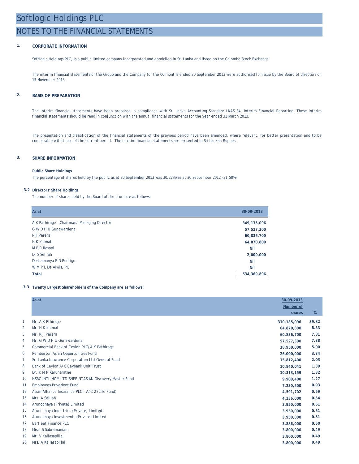### NOTES TO THE FINANCIAL STATEMENTS

### **1. CORPORATE INFORMATION**

Softlogic Holdings PLC, is a public limited company incorporated and domiciled in Sri Lanka and listed on the Colombo Stock Exchange.

The interim financial statements of the Group and the Company for the 06 months ended 30 September 2013 were authorised for issue by the Board of directors on 15 November 2013.

### **2. BASIS OF PREPARATION**

The interim financial statements have been prepared in compliance with Sri Lanka Accounting Standard LKAS 34 -Interim Financial Reporting. These interim financial statements should be read in conjunction with the annual financial statements for the year ended 31 March 2013.

The presentation and classification of the financial statements of the previous period have been amended, where relevant, for better presentation and to be comparable with those of the current period. The interim financial statements are presented in Sri Lankan Rupees.

### **3. SHARE INFORMATION**

#### **Public Share Holdings**

The percentage of shares held by the public as at 30 September 2013 was 30.27% (as at 30 September 2012 -31.50%)

#### **3.2 Directors' Share Holdings**

The number of shares held by the Board of directors are as follows:

| As at                                       | 30-09-2013  |
|---------------------------------------------|-------------|
| A K Pathirage - Chairman/ Managing Director | 349,135,096 |
| G W D H U Gunawardena                       | 57,527,300  |
| R.J Perera                                  | 60,836,700  |
| H K Kaimal                                  | 64,870,800  |
| M P R Rasool                                | Nil         |
| Dr S Selliah                                | 2,000,000   |
| Deshamanya P D Rodrigo                      | Nil         |
| WMPLDe Alwis, PC                            | Nil         |
| <b>Total</b>                                | 534,369,896 |

#### **3.3 Twenty Largest Shareholders of the Company are as follows:**

|                | As at                                                | 30-09-2013       |       |
|----------------|------------------------------------------------------|------------------|-------|
|                |                                                      | <b>Number of</b> |       |
|                |                                                      | shares           | %     |
| $\mathbf{1}$   | Mr. A K Pthirage                                     | 310, 185, 096    | 39.82 |
| $\overline{a}$ | Mr. H K Kaimal                                       | 64,870,800       | 8.33  |
| 3              | Mr. R J Perera                                       | 60,836,700       | 7.81  |
| 4              | Mr. G W D H U Gunawardena                            | 57,527,300       | 7.38  |
| 5              | Commercial Bank of Ceylon PLC/A K Pathirage          | 38,950,000       | 5.00  |
| 6              | Pemberton Asian Opportunities Fund                   | 26,000,000       | 3.34  |
| 7              | Sri Lanka Insurance Corporation Ltd-General Fund     | 15,812,400       | 2.03  |
| 8              | Bank of Ceylon A/C Ceybank Unit Trust                | 10,840,041       | 1.39  |
| 9              | Dr. K M P Karunaratne                                | 10,313,159       | 1.32  |
| 10             | HSBC INTL NOM LTD-SNFE-NTASIAN Discovery Master Fund | 9.900.400        | 1.27  |
| 11             | <b>Employees Provident Fund</b>                      | 7,230,500        | 0.93  |
| 12             | Asian Alliance Insurance PLC - A/C 2 (Life Fund)     | 4,591,702        | 0.59  |
| 13             | Mrs. A Selliah                                       | 4,236,000        | 0.54  |
| 14             | Arunodhaya (Private) Limited                         | 3,950,000        | 0.51  |
| 15             | Arunodhaya Industries (Private) Limited              | 3,950,000        | 0.51  |
| 16             | Arunodhaya Investments (Private) Limited             | 3,950,000        | 0.51  |
| 17             | Bartleet Finance PLC                                 | 3,886,000        | 0.50  |
| 18             | Miss. S Subramaniam                                  | 3,800,000        | 0.49  |
| 19             | Mr. V Kailasapillai                                  | 3,800,000        | 0.49  |
| 20             | Mrs. A Kailasapillai                                 | 3,800,000        | 0.49  |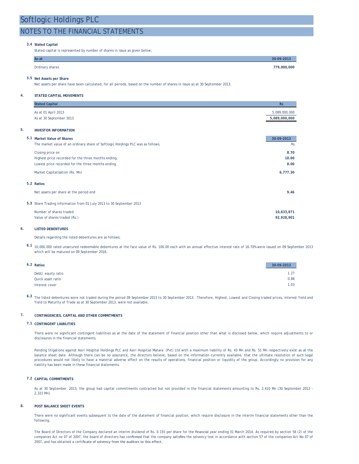### NOTES TO THE FINANCIAL STATEMENTS

#### **3.4 Stated Capital**

Stated capital is represented by number of shares in issue as given below;

| As at           | 30-09-2013  |
|-----------------|-------------|
| Ordinary shares | 779,000,000 |

#### **3.5 Net Assets per Share**

Net assets per share have been calculated, for all periods, based on the number of shares in issue as at 30 September 2013.

#### **4. STATED CAPITAL MOVEMENTS**

| <b>Stated Capital</b><br>As at 01 April 2013                                    | <b>Rs</b><br>5,089,000,000 |
|---------------------------------------------------------------------------------|----------------------------|
| As at 30 September 2013                                                         | 5,089,000,000              |
| 5.<br><b>INVESTOR INFORMATION</b>                                               |                            |
| 5.1 Market Value of Shares                                                      | 30-09-2013                 |
| The market value of an ordinary share of Softlogic Holdings PLC was as follows. | Rs.                        |
| Closing price on                                                                | 8.70                       |
| Highest price recorded for the three months ending                              | 10.00                      |
| Lowest price recorded for the three months ending                               | 8.00                       |
| Market Capitalisation (Rs. Mn)                                                  | 6,777.30                   |
| 5.2 Ratios                                                                      |                            |
| Net assets per share at the period end                                          | 9.46                       |
| 5.3 Share Trading information from 01 July 2013 to 30 September 2013            |                            |
| Number of shares traded                                                         | 10,633,871                 |
| Value of shares traded (Rs.)                                                    | 92,928,901                 |

#### **6. LISTED DEBENTURES**

Details regarding the listed debentures are as follows;

**6.1** 10,000,000 rated unsecured redeemable debentures at the face value of Rs. 100.00 each with an annual effective interest rate of 16.70% were issued on 09 September 2013 which will be matured on 09 September 2016.

| 6.2 Ratios |                   | 30-09-2013 |
|------------|-------------------|------------|
|            | Debt/equity ratio | 1.27       |
|            | Quick asset ratio | 0.88       |
|            | Interest cover    | 1.03       |

6.3 The listed debentures were not traded during the peirod 09 September 2013 to 30 September 2013. Therefore, Highest, Lowest and Closing traded prices, Interest Yield and Yield to Maturity of Trade as at 30 September 2013, were not available.

#### **7. CONTINGENCIES, CAPITAL AND OTHER COMMITMENTS**

#### **7.1 CONTINGENT LIABILITIES**

There were no significant contingent liabilities as at the date of the statement of financial position other than what is disclosed below, which require adjustments to or disclosures in the financial statements.

Pending litigations against Asiri Hospital Holdings PLC and Asiri Hospitas Matara (Pvt) Ltd with a maximum liability of Rs. 43 Mn and Rs. 51 Mn respectively exist as at the balance sheet date. Although there can be no assurance, the directors believe, based on the information currently available, that the ultimate resolution of such legal procedures would not likely to have a material adverse effect on the results of operations, financial position or liquidity of the group. Accordingly no provision for any liability has been made in these financial statements.

#### **7.2 CAPITAL COMMITMENTS**

As at 30 September 2013, the group had capital commitments contracted but not provided in the financial statements amounting to Rs. 2,410 Mn (30 September 2012 -2,321 Mn).

#### **8. POST BALANCE SHEET EVENTS**

There were no significant events subsequent to the date of the statement of financial position, which require disclosure in the interim financial statements other than the following.

The Board of Directors of the Company declared an interim dividend of Rs. 0.155 per share for the financial year ending 31 March 2014. As required by section 56 (2) of the companies Act no 07 of 2007, the board of directors has confirmed that the company satisfies the solvency test in accordance with section 57 of the companies Act No.07 of 2007, and has obtained a certificate of solvency from the auditors to this effect.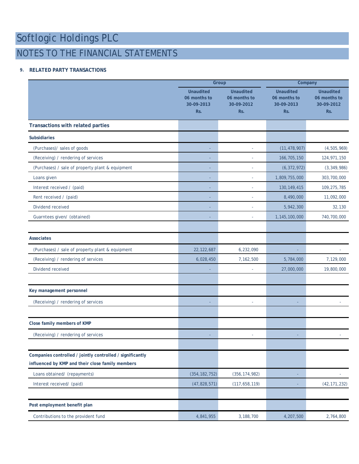## NOTES TO THE FINANCIAL STATEMENTS

### **9. RELATED PARTY TRANSACTIONS**

|                                                                                                               |                                                       | <b>Group</b>                                          | Company                                               |                                                       |  |
|---------------------------------------------------------------------------------------------------------------|-------------------------------------------------------|-------------------------------------------------------|-------------------------------------------------------|-------------------------------------------------------|--|
|                                                                                                               | <b>Unaudited</b><br>06 months to<br>30-09-2013<br>Rs. | <b>Unaudited</b><br>06 months to<br>30-09-2012<br>Rs. | <b>Unaudited</b><br>06 months to<br>30-09-2013<br>Rs. | <b>Unaudited</b><br>06 months to<br>30-09-2012<br>Rs. |  |
| <b>Transactions with related parties</b>                                                                      |                                                       |                                                       |                                                       |                                                       |  |
| <b>Subsidiaries</b>                                                                                           |                                                       |                                                       |                                                       |                                                       |  |
| (Purchases)/ sales of goods                                                                                   |                                                       |                                                       | (11, 478, 907)                                        | (4,505,969)                                           |  |
| (Receiving) / rendering of services                                                                           |                                                       | ä,                                                    | 166,705,150                                           | 124,971,150                                           |  |
| (Purchases) / sale of property plant & equipment                                                              |                                                       |                                                       | (6, 372, 972)                                         | (3,349,986)                                           |  |
| Loans given                                                                                                   |                                                       | ÷,                                                    | 1,809,755,000                                         | 303,700,000                                           |  |
| Interest received / (paid)                                                                                    |                                                       | ÷                                                     | 130, 149, 415                                         | 109, 275, 785                                         |  |
| Rent received / (paid)                                                                                        |                                                       | i.                                                    | 8,490,000                                             | 11,092,000                                            |  |
| Dividend received                                                                                             |                                                       | ÷                                                     | 5,942,300                                             | 32,130                                                |  |
| Guarntees given/ (obtained)                                                                                   |                                                       |                                                       | 1,145,100,000                                         | 740,700,000                                           |  |
| <b>Associates</b>                                                                                             |                                                       |                                                       |                                                       |                                                       |  |
| (Purchases) / sale of property plant & equipment                                                              | 22, 122, 687                                          | 6,232,090                                             |                                                       |                                                       |  |
| (Receiving) / rendering of services                                                                           | 6,028,450                                             | 7,162,500                                             | 5,784,000                                             | 7,129,000                                             |  |
| Dividend received                                                                                             |                                                       |                                                       | 27,000,000                                            | 19,800,000                                            |  |
| Key management personnel                                                                                      |                                                       |                                                       |                                                       |                                                       |  |
| (Receiving) / rendering of services                                                                           |                                                       | ÷                                                     |                                                       |                                                       |  |
| Close family members of KMP                                                                                   |                                                       |                                                       |                                                       |                                                       |  |
| (Receiving) / rendering of services                                                                           |                                                       | ٠                                                     | ٠                                                     |                                                       |  |
|                                                                                                               |                                                       |                                                       |                                                       |                                                       |  |
| Companies controlled / jointly controlled / significantly<br>influenced by KMP and their close family members |                                                       |                                                       |                                                       |                                                       |  |
| Loans obtained/ (repayments)                                                                                  | (354, 182, 752)                                       | (356, 174, 982)                                       | ٠                                                     | $\sim$                                                |  |
| Interest received/ (paid)                                                                                     | (47, 828, 571)                                        | (117, 658, 119)                                       |                                                       | (42, 171, 232)                                        |  |
| Post employment benefit plan                                                                                  |                                                       |                                                       |                                                       |                                                       |  |
| Contributions to the provident fund                                                                           | 4,841,955                                             | 3,188,700                                             | 4,207,500                                             | 2,764,800                                             |  |